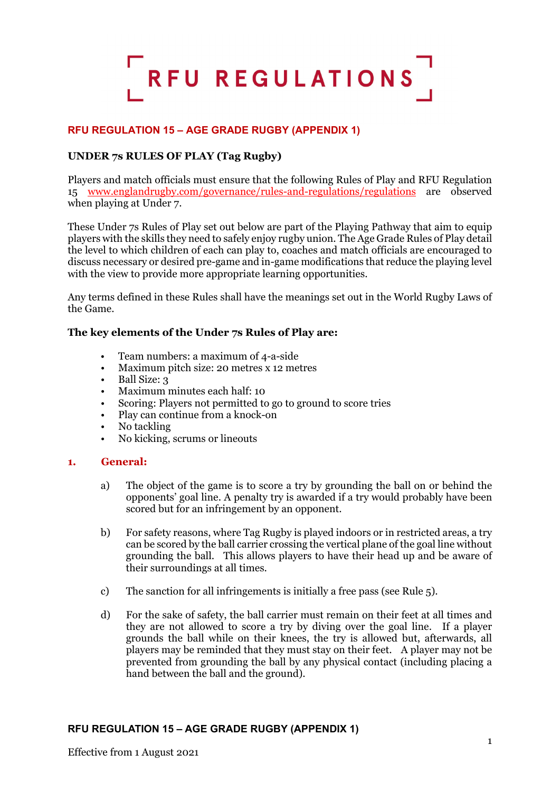

# **RFU REGULATION 15 – AGE GRADE RUGBY (APPENDIX 1)**

### **UNDER 7s RULES OF PLAY (Tag Rugby)**

Players and match officials must ensure that the following Rules of Play and RFU Regulation 15 [www.englandrugby.com/governance/rules-and-regulations/regulations](http://www.englandrugby.com/governance/rules-and-regulations/regulations) are observed when playing at Under 7.

These Under 7s Rules of Play set out below are part of the Playing Pathway that aim to equip players with the skills they need to safely enjoy rugby union. The Age Grade Rules of Play detail the level to which children of each can play to, coaches and match officials are encouraged to discuss necessary or desired pre-game and in-game modifications that reduce the playing level with the view to provide more appropriate learning opportunities.

Any terms defined in these Rules shall have the meanings set out in the World Rugby Laws of the Game.

#### **The key elements of the Under 7s Rules of Play are:**

- Team numbers: a maximum of 4-a-side
- Maximum pitch size: 20 metres x 12 metres
- Ball Size: 3
- Maximum minutes each half: 10
- Scoring: Players not permitted to go to ground to score tries
- Play can continue from a knock-on
- No tackling
- No kicking, scrums or lineouts

#### **1. General:**

- a) The object of the game is to score a try by grounding the ball on or behind the opponents' goal line. A penalty try is awarded if a try would probably have been scored but for an infringement by an opponent.
- b) For safety reasons, where Tag Rugby is played indoors or in restricted areas, a try can be scored by the ball carrier crossing the vertical plane of the goal line without grounding the ball. This allows players to have their head up and be aware of their surroundings at all times.
- c) The sanction for all infringements is initially a free pass (see Rule 5).
- d) For the sake of safety, the ball carrier must remain on their feet at all times and they are not allowed to score a try by diving over the goal line. If a player grounds the ball while on their knees, the try is allowed but, afterwards, all players may be reminded that they must stay on their feet. A player may not be prevented from grounding the ball by any physical contact (including placing a hand between the ball and the ground).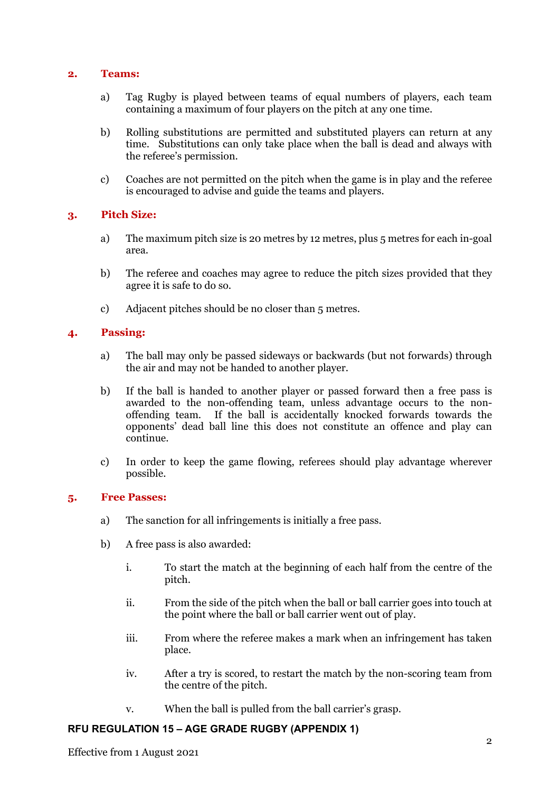#### **2. Teams:**

- a) Tag Rugby is played between teams of equal numbers of players, each team containing a maximum of four players on the pitch at any one time.
- b) Rolling substitutions are permitted and substituted players can return at any time. Substitutions can only take place when the ball is dead and always with the referee's permission.
- c) Coaches are not permitted on the pitch when the game is in play and the referee is encouraged to advise and guide the teams and players.

### **3. Pitch Size:**

- a) The maximum pitch size is 20 metres by 12 metres, plus 5 metres for each in-goal area.
- b) The referee and coaches may agree to reduce the pitch sizes provided that they agree it is safe to do so.
- c) Adjacent pitches should be no closer than 5 metres.

### **4. Passing:**

- a) The ball may only be passed sideways or backwards (but not forwards) through the air and may not be handed to another player.
- b) If the ball is handed to another player or passed forward then a free pass is awarded to the non-offending team, unless advantage occurs to the nonoffending team. If the ball is accidentally knocked forwards towards the opponents' dead ball line this does not constitute an offence and play can continue.
- c) In order to keep the game flowing, referees should play advantage wherever possible.

# **5. Free Passes:**

- a) The sanction for all infringements is initially a free pass.
- b) A free pass is also awarded:
	- i. To start the match at the beginning of each half from the centre of the pitch.
	- ii. From the side of the pitch when the ball or ball carrier goes into touch at the point where the ball or ball carrier went out of play.
	- iii. From where the referee makes a mark when an infringement has taken place.
	- iv. After a try is scored, to restart the match by the non-scoring team from the centre of the pitch.
	- v. When the ball is pulled from the ball carrier's grasp.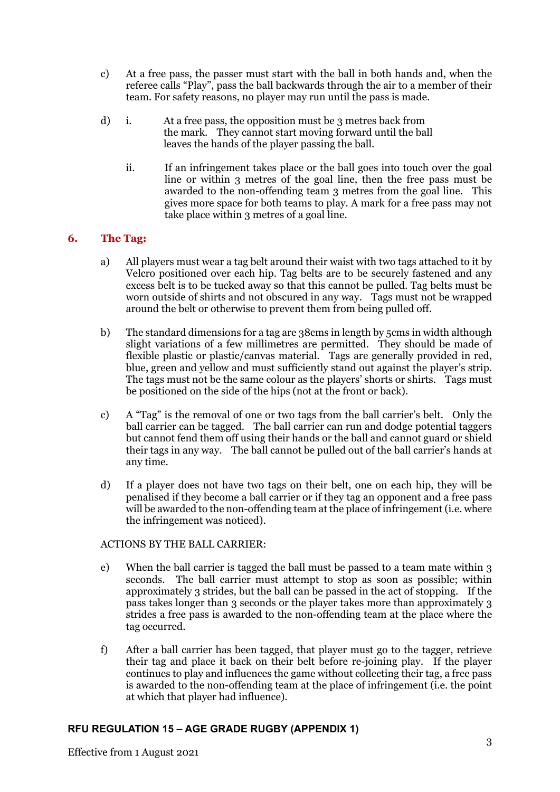- c) At a free pass, the passer must start with the ball in both hands and, when the referee calls "Play", pass the ball backwards through the air to a member of their team. For safety reasons, no player may run until the pass is made.
- d) i. At a free pass, the opposition must be 3 metres back from the mark. They cannot start moving forward until the ball leaves the hands of the player passing the ball.
	- ii. If an infringement takes place or the ball goes into touch over the goal line or within 3 metres of the goal line, then the free pass must be awarded to the non-offending team 3 metres from the goal line. This gives more space for both teams to play. A mark for a free pass may not take place within 3 metres of a goal line.

# **6. The Tag:**

- a) All players must wear a tag belt around their waist with two tags attached to it by Velcro positioned over each hip. Tag belts are to be securely fastened and any excess belt is to be tucked away so that this cannot be pulled. Tag belts must be worn outside of shirts and not obscured in any way. Tags must not be wrapped around the belt or otherwise to prevent them from being pulled off.
- b) The standard dimensions for a tag are 38cms in length by 5cms in width although slight variations of a few millimetres are permitted. They should be made of flexible plastic or plastic/canvas material. Tags are generally provided in red, blue, green and yellow and must sufficiently stand out against the player's strip. The tags must not be the same colour as the players' shorts or shirts. Tags must be positioned on the side of the hips (not at the front or back).
- c) A "Tag" is the removal of one or two tags from the ball carrier's belt. Only the ball carrier can be tagged. The ball carrier can run and dodge potential taggers but cannot fend them off using their hands or the ball and cannot guard or shield their tags in any way. The ball cannot be pulled out of the ball carrier's hands at any time.
- d) If a player does not have two tags on their belt, one on each hip, they will be penalised if they become a ball carrier or if they tag an opponent and a free pass will be awarded to the non-offending team at the place of infringement (i.e. where the infringement was noticed).

### ACTIONS BY THE BALL CARRIER:

- e) When the ball carrier is tagged the ball must be passed to a team mate within 3 seconds. The ball carrier must attempt to stop as soon as possible; within approximately 3 strides, but the ball can be passed in the act of stopping. If the pass takes longer than 3 seconds or the player takes more than approximately 3 strides a free pass is awarded to the non-offending team at the place where the tag occurred.
- f) After a ball carrier has been tagged, that player must go to the tagger, retrieve their tag and place it back on their belt before re-joining play. If the player continues to play and influences the game without collecting their tag, a free pass is awarded to the non-offending team at the place of infringement (i.e. the point at which that player had influence).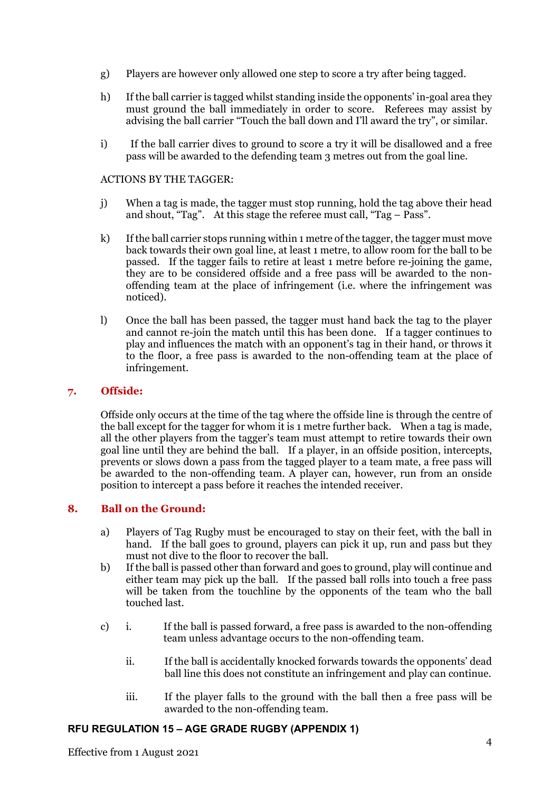- g) Players are however only allowed one step to score a try after being tagged.
- h) If the ball carrier is tagged whilst standing inside the opponents' in-goal area they must ground the ball immediately in order to score. Referees may assist by advising the ball carrier "Touch the ball down and I'll award the try", or similar.
- i) If the ball carrier dives to ground to score a try it will be disallowed and a free pass will be awarded to the defending team 3 metres out from the goal line.

#### ACTIONS BY THE TAGGER:

- j) When a tag is made, the tagger must stop running, hold the tag above their head and shout, "Tag". At this stage the referee must call, "Tag – Pass".
- k) If the ball carrier stops running within 1 metre of the tagger, the tagger must move back towards their own goal line, at least 1 metre, to allow room for the ball to be passed. If the tagger fails to retire at least 1 metre before re-joining the game, they are to be considered offside and a free pass will be awarded to the nonoffending team at the place of infringement (i.e. where the infringement was noticed).
- l) Once the ball has been passed, the tagger must hand back the tag to the player and cannot re-join the match until this has been done. If a tagger continues to play and influences the match with an opponent's tag in their hand, or throws it to the floor, a free pass is awarded to the non-offending team at the place of infringement.

### **7. Offside:**

Offside only occurs at the time of the tag where the offside line is through the centre of the ball except for the tagger for whom it is 1 metre further back. When a tag is made, all the other players from the tagger's team must attempt to retire towards their own goal line until they are behind the ball. If a player, in an offside position, intercepts, prevents or slows down a pass from the tagged player to a team mate, a free pass will be awarded to the non-offending team. A player can, however, run from an onside position to intercept a pass before it reaches the intended receiver.

### **8. Ball on the Ground:**

- a) Players of Tag Rugby must be encouraged to stay on their feet, with the ball in hand. If the ball goes to ground, players can pick it up, run and pass but they must not dive to the floor to recover the ball.
- b) If the ball is passed other than forward and goes to ground, play will continue and either team may pick up the ball. If the passed ball rolls into touch a free pass will be taken from the touchline by the opponents of the team who the ball touched last.
- c) i. If the ball is passed forward, a free pass is awarded to the non-offending team unless advantage occurs to the non-offending team.
	- ii. If the ball is accidentally knocked forwards towards the opponents' dead ball line this does not constitute an infringement and play can continue.
	- iii. If the player falls to the ground with the ball then a free pass will be awarded to the non-offending team.